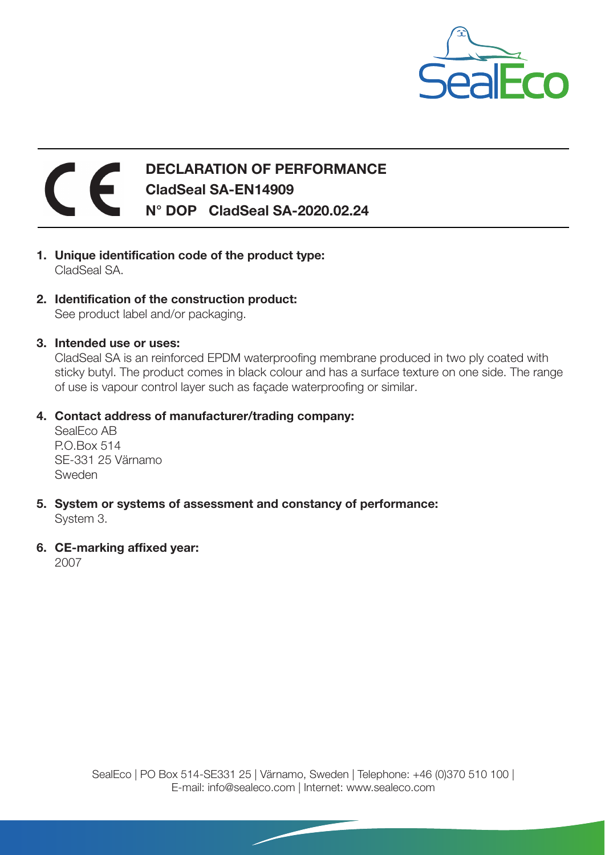

## DECLARATION OF PERFORMANCE CladSeal SA-EN14909 N° DOP CladSeal SA-2020.02.24

- 1. Unique identification code of the product type: CladSeal SA.
- 2. Identification of the construction product: See product label and/or packaging.
- 3. Intended use or uses:

CladSeal SA is an reinforced EPDM waterproofing membrane produced in two ply coated with sticky butyl. The product comes in black colour and has a surface texture on one side. The range of use is vapour control layer such as façade waterproofing or similar.

## 4. Contact address of manufacturer/trading company:

SealEco AB P.O.Box 514 SE-331 25 Värnamo Sweden

- 5. System or systems of assessment and constancy of performance: System 3.
- 6. CE-marking affixed year:

2007